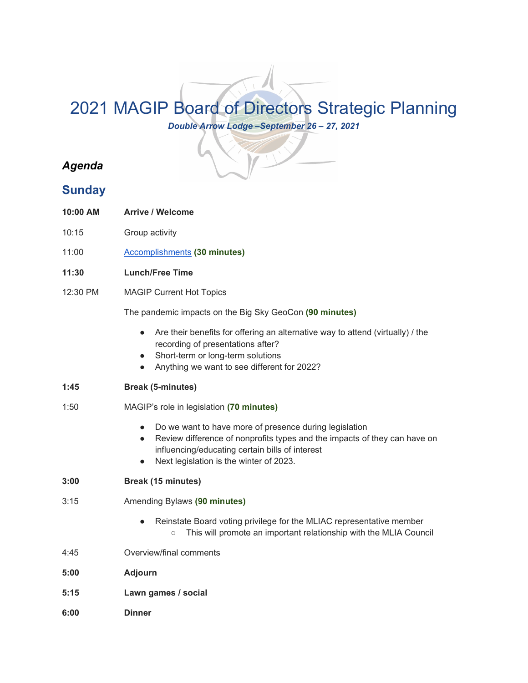## 2021 MAGIP Board of Directors Strategic Planning

*Double Arrow Lodge –September 26 – 27, 2021*

## *Agenda*

## **Sunday**

- **10:00 AM Arrive / Welcome**
- 10:15 Group activity
- 11:00 [Accomplishments](https://www.magip.org/resources/Documents/BODDocuments/MAGIP_2020-2021_Accomplishments_Draft.pdf) **(30 minutes)**
- **11:30 Lunch/Free Time**
- 12:30 PM MAGIP Current Hot Topics

The pandemic impacts on the Big Sky GeoCon **(90 minutes)**

- Are their benefits for offering an alternative way to attend (virtually) / the recording of presentations after?
- Short-term or long-term solutions
- Anything we want to see different for 2022?
- **1:45 Break (5-minutes)**
- 1:50 MAGIP's role in legislation **(70 minutes)**
	- Do we want to have more of presence during legislation
	- Review difference of nonprofits types and the impacts of they can have on influencing/educating certain bills of interest
	- Next legislation is the winter of 2023.
- **3:00 Break (15 minutes)**
- 3:15 Amending Bylaws **(90 minutes)**
	- Reinstate Board voting privilege for the MLIAC representative member ○ This will promote an important relationship with the MLIA Council
- 4:45 Overview/final comments
- **5:00 Adjourn**
- **5:15 Lawn games / social**
- **6:00 Dinner**